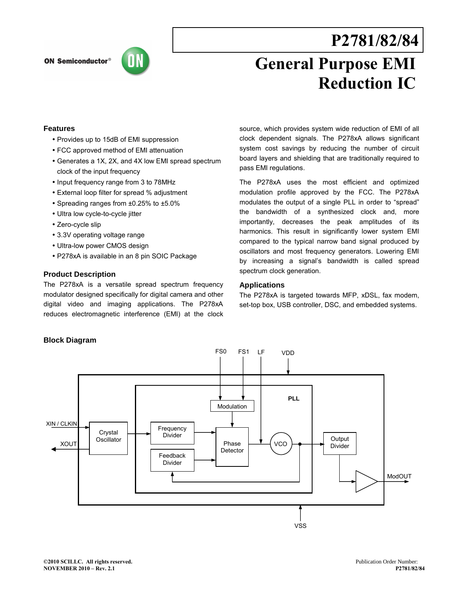## **ON Semiconductor®**



# **P2781/82/84**

# **General Purpose EMI Reduction IC**

## **Features**

- Provides up to 15dB of EMI suppression
- FCC approved method of EMI attenuation
- Generates a 1X, 2X, and 4X low EMI spread spectrum clock of the input frequency
- Input frequency range from 3 to 78MHz
- External loop filter for spread % adjustment
- Spreading ranges from ±0.25% to ±5.0%
- Ultra low cycle-to-cycle jitter
- Zero-cycle slip
- 3.3V operating voltage range
- Ultra-low power CMOS design
- P278xA is available in an 8 pin SOIC Package

## **Product Description**

The P278xA is a versatile spread spectrum frequency modulator designed specifically for digital camera and other digital video and imaging applications. The P278xA reduces electromagnetic interference (EMI) at the clock source, which provides system wide reduction of EMI of all clock dependent signals. The P278xA allows significant system cost savings by reducing the number of circuit board layers and shielding that are traditionally required to pass EMI regulations.

The P278xA uses the most efficient and optimized modulation profile approved by the FCC. The P278xA modulates the output of a single PLL in order to "spread" the bandwidth of a synthesized clock and, more importantly, decreases the peak amplitudes of its harmonics. This result in significantly lower system EMI compared to the typical narrow band signal produced by oscillators and most frequency generators. Lowering EMI by increasing a signal's bandwidth is called spread spectrum clock generation.

## **Applications**

The P278xA is targeted towards MFP, xDSL, fax modem, set-top box, USB controller, DSC, and embedded systems.

## **Block Diagram**

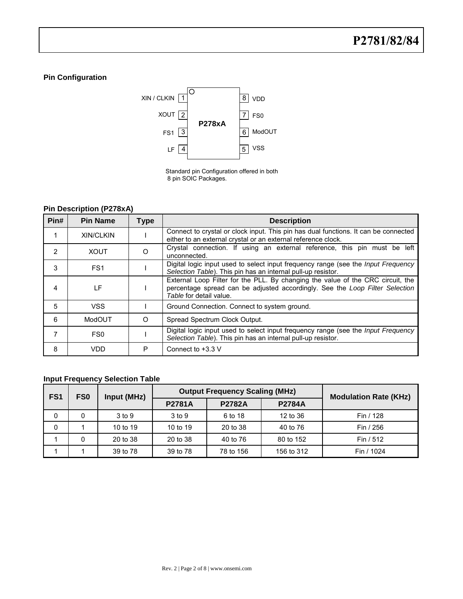# **Pin Configuration**



Standard pin Configuration offered in both 8 pin SOIC Packages.

# **Pin Description (P278xA)**

| Pin# | <b>Pin Name</b>  | Type    | <b>Description</b>                                                                                                                                                                         |  |  |  |  |
|------|------------------|---------|--------------------------------------------------------------------------------------------------------------------------------------------------------------------------------------------|--|--|--|--|
|      | <b>XIN/CLKIN</b> |         | Connect to crystal or clock input. This pin has dual functions. It can be connected<br>either to an external crystal or an external reference clock.                                       |  |  |  |  |
| 2    | <b>XOUT</b>      | O       | Crystal connection. If using an external reference, this pin must be left<br>unconnected.                                                                                                  |  |  |  |  |
| 3    | FS <sub>1</sub>  |         | Digital logic input used to select input frequency range (see the <i>Input Frequency</i><br>Selection Table). This pin has an internal pull-up resistor.                                   |  |  |  |  |
| 4    | ΙF               |         | External Loop Filter for the PLL. By changing the value of the CRC circuit, the<br>percentage spread can be adjusted accordingly. See the Loop Filter Selection<br>Table for detail value. |  |  |  |  |
| 5    | <b>VSS</b>       |         | Ground Connection. Connect to system ground.                                                                                                                                               |  |  |  |  |
| 6    | ModOUT           | $\circ$ | Spread Spectrum Clock Output.                                                                                                                                                              |  |  |  |  |
| 7    | FS <sub>0</sub>  |         | Digital logic input used to select input frequency range (see the Input Frequency<br>Selection Table). This pin has an internal pull-up resistor.                                          |  |  |  |  |
| 8    | VDD              | P       | Connect to $+3.3$ V                                                                                                                                                                        |  |  |  |  |

# **Input Frequency Selection Table**

| FS <sub>1</sub> | FS <sub>0</sub> | Input (MHz) |               | <b>Output Frequency Scaling (MHz)</b> | <b>Modulation Rate (KHz)</b> |            |
|-----------------|-----------------|-------------|---------------|---------------------------------------|------------------------------|------------|
|                 |                 |             | <b>P2781A</b> | <b>P2782A</b>                         | <b>P2784A</b>                |            |
| 0               |                 | 3 to 9      | $3$ to $9$    | 6 to 18                               | 12 to 36                     | Fin / 128  |
| 0               |                 | 10 to 19    | 10 to 19      | 20 to 38                              | 40 to 76                     | Fin / 256  |
|                 |                 | 20 to 38    | 20 to 38      | 40 to 76                              | 80 to 152                    | Fin $/512$ |
|                 |                 | 39 to 78    | 39 to 78      | 78 to 156                             | 156 to 312                   | Fin / 1024 |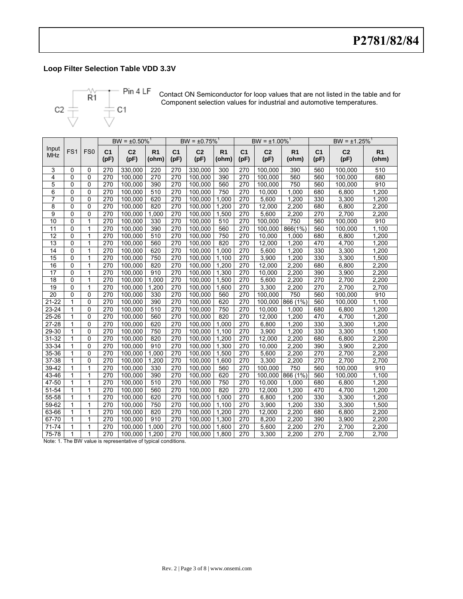# **Loop Filter Selection Table VDD 3.3V**



Contact ON Semiconductor for loop values that are not listed in the table and for Component selection values for industrial and automotive temperatures.

|                     |                 |                 |                        | $BW = \pm 0.50\%$ <sup>1</sup> |                         |                        | $BW = ±0.75\%$ <sup>1</sup> |                         |                        | $BW = \pm 1.00\%$ <sup>1</sup> |                         |                        | $BW = \pm 1.25\%$      |                         |
|---------------------|-----------------|-----------------|------------------------|--------------------------------|-------------------------|------------------------|-----------------------------|-------------------------|------------------------|--------------------------------|-------------------------|------------------------|------------------------|-------------------------|
| Input<br><b>MHz</b> | FS <sub>1</sub> | FS <sub>0</sub> | C <sub>1</sub><br>(pF) | C <sub>2</sub><br>(pF)         | R <sub>1</sub><br>(ohm) | C <sub>1</sub><br>(pF) | C <sub>2</sub><br>(pF)      | R <sub>1</sub><br>(ohm) | C <sub>1</sub><br>(pF) | C <sub>2</sub><br>(pF)         | R <sub>1</sub><br>(ohm) | C <sub>1</sub><br>(pF) | C <sub>2</sub><br>(pF) | R <sub>1</sub><br>(ohm) |
| 3                   | 0               | 0               | 270                    | 330,000                        | 220                     | 270                    | 330,000                     | 300                     | 270                    | 100,000                        | 390                     | 560                    | 100,000                | 510                     |
| 4                   | $\mathbf{0}$    | $\mathbf{0}$    | 270                    | 100,000                        | 270                     | 270                    | 100,000                     | 390                     | 270                    | 100,000                        | 560                     | 560                    | 100,000                | 680                     |
| 5                   | 0               | $\mathbf{0}$    | 270                    | 100,000                        | 390                     | 270                    | 100,000                     | 560                     | 270                    | 100.000                        | 750                     | 560                    | 100,000                | 910                     |
| 6                   | 0               | 0               | 270                    | 100,000                        | 510                     | 270                    | 100,000                     | 750                     | 270                    | 10,000                         | 1,000                   | 680                    | 6,800                  | 1,200                   |
| $\overline{7}$      | $\Omega$        | $\mathbf 0$     | $\overline{270}$       | 100,000                        | 620                     | 270                    | 100,000                     | 1,000                   | 270                    | 5,600                          | 1,200                   | 330                    | 3,300                  | 1,200                   |
| 8                   | 0               | 0               | 270                    | 100,000                        | 820                     | 270                    | 100,000                     | 1,200                   | 270                    | 12,000                         | 2,200                   | 680                    | 6,800                  | 2,200                   |
| 9                   | 0               | 0               | 270                    | 100.000                        | 1.000                   | 270                    | 100.000                     | 1.500                   | 270                    | 5.600                          | 2,200                   | 270                    | 2.700                  | 2,200                   |
| 10                  | $\mathbf 0$     | 1               | 270                    | 100,000                        | 330                     | 270                    | 100,000                     | 510                     | 270                    | 100.000                        | 750                     | 560                    | 100,000                | 910                     |
| $\overline{11}$     | $\Omega$        | 1               | 270                    | 100.000                        | 390                     | 270                    | 100,000                     | 560                     | 270                    | 100.000                        | 866(1%)                 | 560                    | 100.000                | 1,100                   |
| $\overline{12}$     | $\Omega$        | 1               | 270                    | 100,000                        | 510                     | 270                    | 100,000                     | 750                     | 270                    | 10,000                         | 1,000                   | 680                    | 6,800                  | 1,200                   |
| 13                  | $\mathbf 0$     | 1               | 270                    | 100,000                        | 560                     | 270                    | 100.000                     | 820                     | 270                    | 12.000                         | 1,200                   | 470                    | 4,700                  | 1,200                   |
| 14                  | $\mathbf{0}$    | 1               | 270                    | 100,000                        | 620                     | 270                    | 100,000                     | 1,000                   | 270                    | 5,600                          | 1,200                   | 330                    | 3,300                  | 1,200                   |
| 15                  | $\mathbf 0$     | 1               | 270                    | 100,000                        | 750                     | 270                    | 100,000                     | 1,100                   | 270                    | 3,900                          | 1,200                   | 330                    | 3,300                  | 1,500                   |
| 16                  | 0               | 1               | 270                    | 100,000                        | 820                     | 270                    | 100,000                     | 1,200                   | 270                    | 12,000                         | 2,200                   | 680                    | 6,800                  | 2,200                   |
| $\overline{17}$     | $\mathbf{0}$    | 1               | 270                    | 100,000                        | 910                     | 270                    | 100,000                     | 1,300                   | 270                    | 10,000                         | 2,200                   | 390                    | 3,900                  | 2,200                   |
| 18                  | $\mathbf 0$     | 1               | 270                    | 100,000                        | 1,000                   | 270                    | 100,000                     | 1,500                   | 270                    | 5,600                          | 2,200                   | 270                    | 2,700                  | 2,200                   |
| 19                  | 0               | 1               | 270                    | 100,000                        | 1,200                   | 270                    | 100,000                     | 1,600                   | 270                    | 3,300                          | 2,200                   | 270                    | 2,700                  | 2,700                   |
| 20                  | 0               | $\mathbf 0$     | 270                    | 100,000                        | 330                     | 270                    | 100,000                     | 560                     | 270                    | 100.000                        | 750                     | 560                    | 100,000                | 910                     |
| $21 - 22$           | $\overline{1}$  | $\Omega$        | 270                    | 100.000                        | 390                     | 270                    | 100.000                     | 620                     | 270                    | 100.000                        | 866 (1%)                | 560                    | 100,000                | 1,100                   |
| 23-24               | 1               | $\Omega$        | 270                    | 100.000                        | 510                     | 270                    | 100.000                     | 750                     | 270                    | 10,000                         | 1,000                   | 680                    | 6,800                  | 1,200                   |
| 25-26               | 1               | $\Omega$        | 270                    | 100.000                        | 560                     | 270                    | 100.000                     | 820                     | 270                    | 12.000                         | 1,200                   | 470                    | 4,700                  | 1,200                   |
| 27-28               | 1               | $\Omega$        | 270                    | 100,000                        | 620                     | 270                    | 100,000                     | 1,000                   | 270                    | 6,800                          | 1,200                   | 330                    | 3,300                  | 1,200                   |
| 29-30               | 1               | $\mathbf{0}$    | 270                    | 100,000                        | 750                     | 270                    | 100,000                     | 1,100                   | 270                    | 3,900                          | 1,200                   | 330                    | 3,300                  | 1,500                   |
| $31 - 32$           | 1               | $\Omega$        | 270                    | 100,000                        | 820                     | $\overline{270}$       | 100.000                     | 1,200                   | 270                    | 12,000                         | 2,200                   | 680                    | 6,800                  | 2,200                   |
| 33-34               | 1               | $\Omega$        | 270                    | 100,000                        | 910                     | 270                    | 100,000                     | 1,300                   | 270                    | 10,000                         | 2,200                   | 390                    | 3,900                  | 2,200                   |
| 35-36               | 1               | $\Omega$        | 270                    | 100,000                        | 1,000                   | 270                    | 100,000                     | 1,500                   | 270                    | 5,600                          | 2,200                   | 270                    | 2,700                  | 2,200                   |
| 37-38               | 1               | 0               | 270                    | 100,000                        | 1,200                   | 270                    | 100,000                     | 1,600                   | 270                    | 3,300                          | 2,200                   | 270                    | 2,700                  | 2,700                   |
| 39-42               | 1               | 1               | 270                    | 100,000                        | 330                     | 270                    | 100,000                     | 560                     | 270                    | 100,000                        | 750                     | 560                    | 100,000                | 910                     |
| 43-46               | 1               | 1               | 270                    | 100,000                        | 390                     | 270                    | 100,000                     | 620                     | 270                    | 100,000                        | 866 (1%)                | 560                    | 100,000                | 1,100                   |
| 47-50               | 1               | 1               | 270                    | 100.000                        | 510                     | 270                    | 100.000                     | 750                     | 270                    | 10.000                         | 1.000                   | 680                    | 6,800                  | 1,200                   |
| 51-54               | 1               | 1               | 270                    | 100,000                        | 560                     | 270                    | 100,000                     | 820                     | 270                    | 12,000                         | 1,200                   | 470                    | 4,700                  | 1,200                   |
| 55-58               | 1               | 1               | 270                    | 100,000                        | 620                     | $\overline{270}$       | 100.000                     | 1.000                   | 270                    | 6,800                          | 1,200                   | 330                    | 3,300                  | 1,200                   |
| 59-62               | 1               | 1               | 270                    | 100,000                        | 750                     | 270                    | 100,000                     | 1.100                   | 270                    | 3,900                          | 1,200                   | 330                    | 3,300                  | 1,500                   |
| 63-66               | 1               | 1               | 270                    | 100,000                        | 820                     | 270                    | 100,000                     | 1,200                   | 270                    | 12,000                         | 2,200                   | 680                    | 6,800                  | 2,200                   |
| 67-70               | 1               | 1               | 270                    | 100,000                        | 910                     | 270                    | 100,000                     | 1.300                   | 270                    | 8,200                          | 2,200                   | 390                    | 3,900                  | 2,200                   |
| $71 - 74$           | 1               | 1               | 270                    | 100,000                        | 1.000                   | 270                    | 100,000                     | 1,600                   | 270                    | 5,600                          | 2,200                   | 270                    | 2,700                  | 2,200                   |
| 75-78               | 1               | 1               | 270                    | 100,000                        | 1,200                   | 270                    | 100,000                     | 1.800                   | 270                    | 3,300                          | 2,200                   | 270                    | 2,700                  | 2,700                   |

Note: 1. The BW value is representative of typical conditions.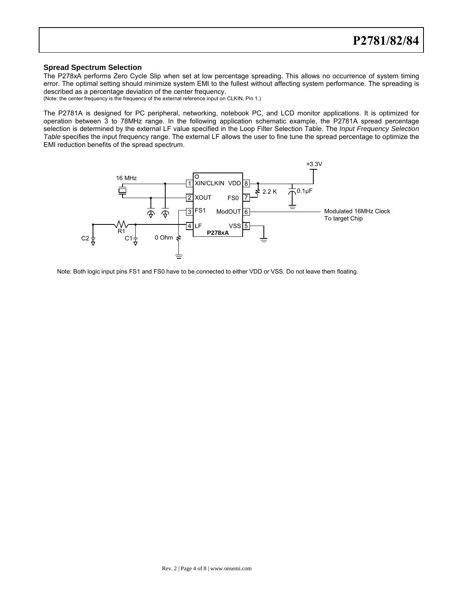#### **Spread Spectrum Selection**

The P278xA performs Zero Cycle Slip when set at low percentage spreading. This allows no occurrence of system timing error. The optimal setting should minimize system EMI to the fullest without affecting system performance. The spreading is described as a percentage deviation of the center frequency.

(Note: the center frequency is the frequency of the external reference input on CLKIN, Pin 1.)

The P2781A is designed for PC peripheral, networking, notebook PC, and LCD monitor applications. It is optimized for operation between 3 to 78MHz range. In the following application schematic example, the P2781A spread percentage selection is determined by the external LF value specified in the Loop Filter Selection Table. The Input Frequency Selection Table specifies the input frequency range. The external LF allows the user to fine tune the spread percentage to optimize the EMI reduction benefits of the spread spectrum.



Note: Both logic input pins FS1 and FS0 have to be connected to either VDD or VSS. Do not leave them floating.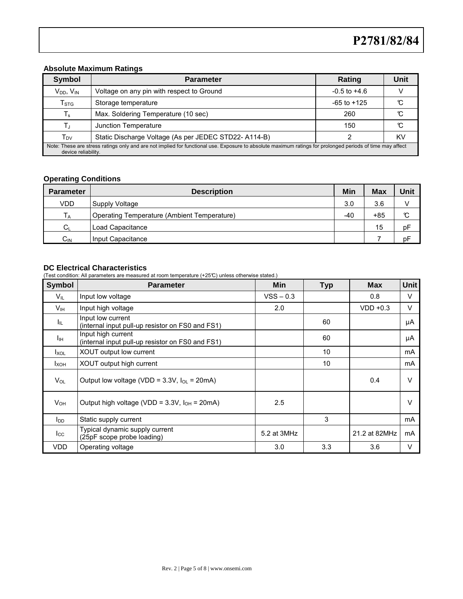## **Absolute Maximum Ratings**

| <b>Symbol</b>                                                                                                                                                                    | <b>Parameter</b>                                           | Rating           | Unit |  |  |  |  |
|----------------------------------------------------------------------------------------------------------------------------------------------------------------------------------|------------------------------------------------------------|------------------|------|--|--|--|--|
| $V_{DD}$ , $V_{IN}$                                                                                                                                                              | Voltage on any pin with respect to Ground                  | $-0.5$ to $+4.6$ |      |  |  |  |  |
| $\mathsf{T}_{\text{STG}}$                                                                                                                                                        | Storage temperature                                        | $-65$ to $+125$  |      |  |  |  |  |
| $T_{\rm s}$                                                                                                                                                                      | Max. Soldering Temperature (10 sec)                        | 260              |      |  |  |  |  |
|                                                                                                                                                                                  | Junction Temperature                                       | 150              |      |  |  |  |  |
| T <sub>DV</sub>                                                                                                                                                                  | Static Discharge Voltage (As per JEDEC STD22-A114-B)<br>ΚV |                  |      |  |  |  |  |
| Note: These are stress ratings only and are not implied for functional use. Exposure to absolute maximum ratings for prolonged periods of time may affect<br>device reliability. |                                                            |                  |      |  |  |  |  |

# **Operating Conditions**

| <b>Parameter</b> | <b>Description</b>                          | Min | Max | Unit |
|------------------|---------------------------------------------|-----|-----|------|
| <b>VDD</b>       | Supply Voltage                              | 3.0 | 3.6 |      |
| IА               | Operating Temperature (Ambient Temperature) | -40 | +85 | C    |
| $C_{\text{L}}$   | Load Capacitance                            |     | 15  | pF   |
| $C_{IN}$         | Input Capacitance                           |     |     | pF   |

# **DC Electrical Characteristics**

(Test condition: All parameters are measured at room temperature (+25°C) unless otherwise stated.)

| <b>Symbol</b>          | <b>Parameter</b>                                                       | Min         | <b>Typ</b> | <b>Max</b>    | <b>Unit</b> |
|------------------------|------------------------------------------------------------------------|-------------|------------|---------------|-------------|
| $V_{IL}$               | Input low voltage                                                      | $VSS - 0.3$ |            | 0.8           | V           |
| Vıн                    | Input high voltage                                                     | 2.0         |            | $VDD +0.3$    | $\vee$      |
| Ι'n.                   | Input low current<br>(internal input pull-up resistor on FS0 and FS1)  |             | 60         |               | μA          |
| Iн                     | Input high current<br>(internal input pull-up resistor on FS0 and FS1) |             | 60         |               | μA          |
| $I_{XOL}$              | XOUT output low current                                                |             | 10         |               | mA          |
| <b>I</b> xoh           | XOUT output high current                                               |             | 10         |               | mA          |
| $V_{OL}$               | Output low voltage (VDD = $3.3V$ , $I_{OL} = 20mA$ )                   |             |            | 0.4           | $\vee$      |
| <b>V</b> <sub>OН</sub> | Output high voltage (VDD = $3.3V$ , $I_{OH} = 20mA$ )                  | 2.5         |            |               | $\vee$      |
| l <sub>DD</sub>        | Static supply current                                                  |             | 3          |               | mA          |
| $I_{\rm CC}$           | Typical dynamic supply current<br>(25pF scope probe loading)           | 5.2 at 3MHz |            | 21.2 at 82MHz | mA          |
| <b>VDD</b>             | Operating voltage                                                      | 3.0         | 3.3        | 3.6           | V           |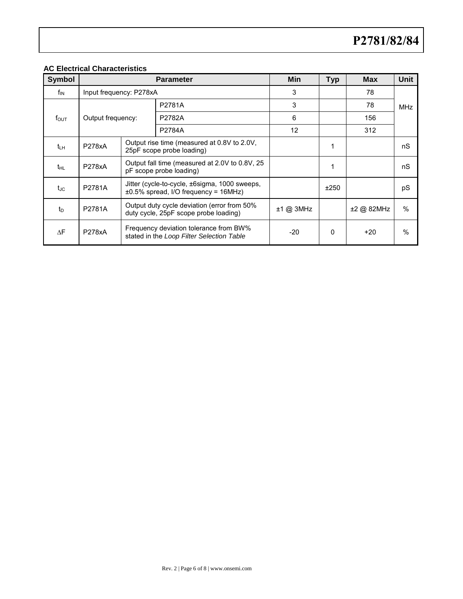# **AC Electrical Characteristics**

| <b>Symbol</b>    |                         | <b>Parameter</b> | Min                                                                                         | <b>Typ</b> | <b>Max</b> | Unit       |            |  |
|------------------|-------------------------|------------------|---------------------------------------------------------------------------------------------|------------|------------|------------|------------|--|
| f <sub>IN</sub>  | Input frequency: P278xA |                  |                                                                                             | 3          |            | 78         |            |  |
|                  |                         |                  | P2781A                                                                                      | 3          |            | 78         | <b>MHz</b> |  |
| $f_{\text{OUT}}$ | Output frequency:       |                  | P2782A                                                                                      | 6          |            | 156        |            |  |
|                  |                         |                  | P2784A                                                                                      | 12         |            | 312        |            |  |
| $t_{LH}$         | <b>P278xA</b>           |                  | Output rise time (measured at 0.8V to 2.0V,<br>25pF scope probe loading)                    |            |            |            | nS         |  |
| t <sub>HL</sub>  | <b>P278xA</b>           |                  | Output fall time (measured at 2.0V to 0.8V, 25<br>pF scope probe loading)                   |            |            |            | nS         |  |
| tjc              | P2781A                  |                  | Jitter (cycle-to-cycle, ±6sigma, 1000 sweeps,<br>$\pm 0.5\%$ spread, I/O frequency = 16MHz) |            | ±250       |            | pS         |  |
| $t_{\text{D}}$   | P2781A                  |                  | Output duty cycle deviation (error from 50%<br>duty cycle, 25pF scope probe loading)        | ±1 @ 3MHz  |            | ±2 @ 82MHz | $\%$       |  |
| $\Delta F$       | <b>P278xA</b>           |                  | Frequency deviation tolerance from BW%<br>stated in the Loop Filter Selection Table         | $-20$      | 0          | +20        | $\%$       |  |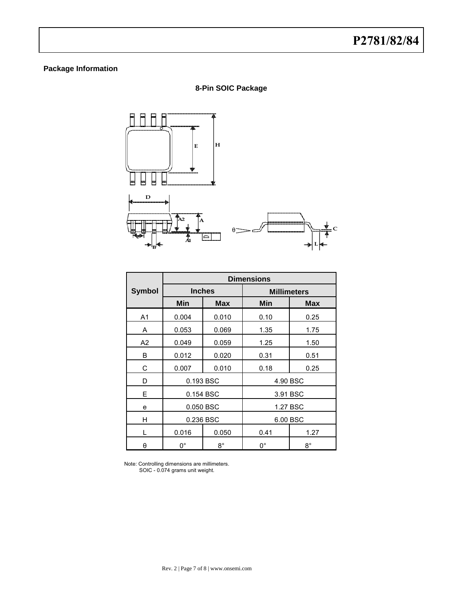# **Package Information**

**8-Pin SOIC Package** 



|                | <b>Dimensions</b> |               |                    |             |  |  |  |
|----------------|-------------------|---------------|--------------------|-------------|--|--|--|
| <b>Symbol</b>  |                   | <b>Inches</b> | <b>Millimeters</b> |             |  |  |  |
|                | Min<br><b>Max</b> |               | Min                | <b>Max</b>  |  |  |  |
| A <sub>1</sub> | 0.004             | 0.010         | 0.10               | 0.25        |  |  |  |
| Α              | 0.053             | 0.069         | 1.35               | 1.75        |  |  |  |
| A2             | 0.049             | 0.059         | 1.25               | 1.50        |  |  |  |
| B              | 0.012             | 0.020         | 0.31               | 0.51        |  |  |  |
| С              | 0.007             | 0.010         | 0.18               | 0.25        |  |  |  |
| D              |                   | 0.193 BSC     | 4.90 BSC           |             |  |  |  |
| E              |                   | 0.154 BSC     |                    | 3.91 BSC    |  |  |  |
| e              |                   | 0.050 BSC     |                    | 1.27 BSC    |  |  |  |
| н              | 0.236 BSC         |               |                    | 6.00 BSC    |  |  |  |
|                | 0.016             | 0.050         | 0.41               | 1.27        |  |  |  |
| θ              | $0^{\circ}$       | $8^{\circ}$   | 0°                 | $8^{\circ}$ |  |  |  |

 Note: Controlling dimensions are millimeters. SOIC - 0.074 grams unit weight.